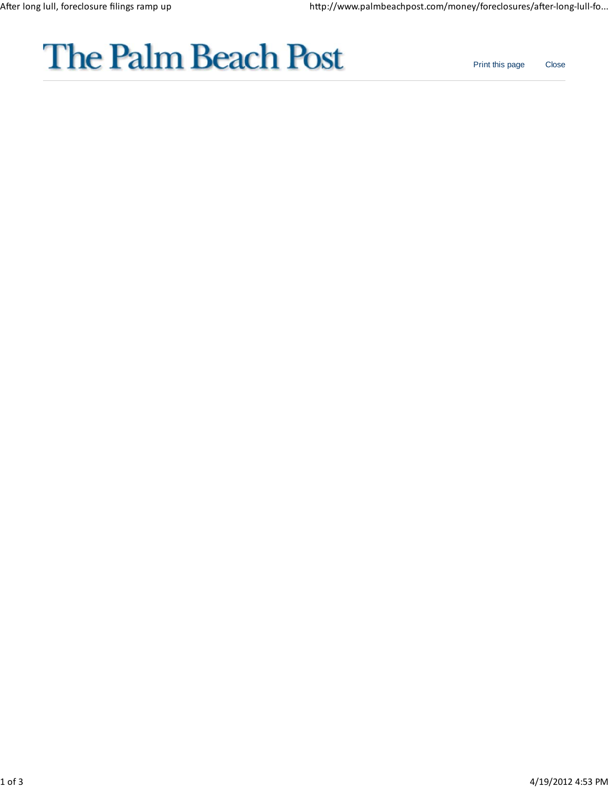

Print this page Close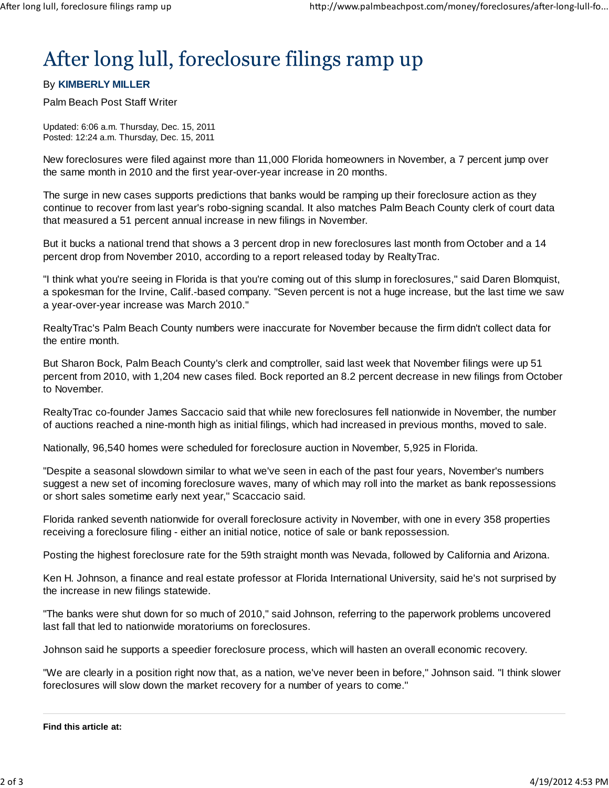## After long lull, foreclosure filings ramp up

## By **KIMBERLY MILLER**

Palm Beach Post Staff Writer

Updated: 6:06 a.m. Thursday, Dec. 15, 2011 Posted: 12:24 a.m. Thursday, Dec. 15, 2011

New foreclosures were filed against more than 11,000 Florida homeowners in November, a 7 percent jump over the same month in 2010 and the first year-over-year increase in 20 months.

The surge in new cases supports predictions that banks would be ramping up their foreclosure action as they continue to recover from last year's robo-signing scandal. It also matches Palm Beach County clerk of court data that measured a 51 percent annual increase in new filings in November.

But it bucks a national trend that shows a 3 percent drop in new foreclosures last month from October and a 14 percent drop from November 2010, according to a report released today by RealtyTrac.

"I think what you're seeing in Florida is that you're coming out of this slump in foreclosures," said Daren Blomquist, a spokesman for the Irvine, Calif.-based company. "Seven percent is not a huge increase, but the last time we saw a year-over-year increase was March 2010."

RealtyTrac's Palm Beach County numbers were inaccurate for November because the firm didn't collect data for the entire month.

But Sharon Bock, Palm Beach County's clerk and comptroller, said last week that November filings were up 51 percent from 2010, with 1,204 new cases filed. Bock reported an 8.2 percent decrease in new filings from October to November.

RealtyTrac co-founder James Saccacio said that while new foreclosures fell nationwide in November, the number of auctions reached a nine-month high as initial filings, which had increased in previous months, moved to sale.

Nationally, 96,540 homes were scheduled for foreclosure auction in November, 5,925 in Florida.

"Despite a seasonal slowdown similar to what we've seen in each of the past four years, November's numbers suggest a new set of incoming foreclosure waves, many of which may roll into the market as bank repossessions or short sales sometime early next year," Scaccacio said.

Florida ranked seventh nationwide for overall foreclosure activity in November, with one in every 358 properties receiving a foreclosure filing - either an initial notice, notice of sale or bank repossession.

Posting the highest foreclosure rate for the 59th straight month was Nevada, followed by California and Arizona.

Ken H. Johnson, a finance and real estate professor at Florida International University, said he's not surprised by the increase in new filings statewide.

"The banks were shut down for so much of 2010," said Johnson, referring to the paperwork problems uncovered last fall that led to nationwide moratoriums on foreclosures.

Johnson said he supports a speedier foreclosure process, which will hasten an overall economic recovery.

"We are clearly in a position right now that, as a nation, we've never been in before," Johnson said. "I think slower foreclosures will slow down the market recovery for a number of years to come."

**Find this article at:**